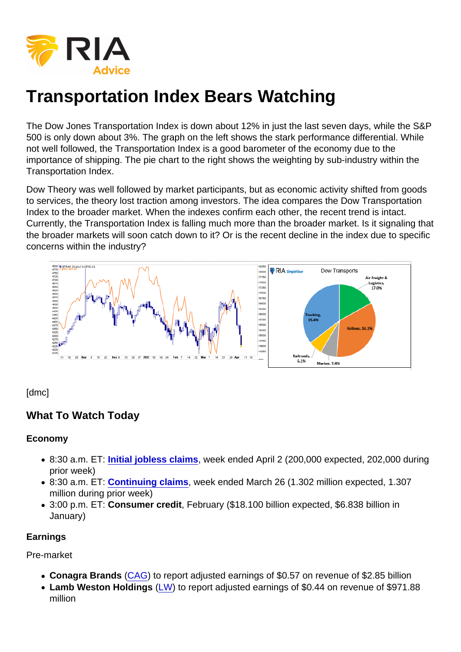The Dow Jones Transportation Index is down about 12% in just the last seven days, while the S&P 500 is only down about 3%. The graph on the left shows the stark performance differential. While not well followed, the Transportation Index is a good barometer of the economy due to the importance of shipping. The pie chart to the right shows the weighting by sub-industry within the Transportation Index.

Dow Theory was well followed by market participants, but as economic activity shifted from goods to services, the theory lost traction among investors. The idea compares the Dow Transportation Index to the broader market. When the indexes confirm each other, the recent trend is intact. Currently, the Transportation Index is falling much more than the broader market. Is it signaling that the broader markets will soon catch down to it? Or is the recent decline in the index due to specific concerns within the industry?

[dmc]

## What To Watch Today

Economy

- 8:30 a.m. ET: [Initial jobless claims](https://finance.yahoo.com/news/weekly-jobless-claims-week-ended-april-2-2022-174901498.html) , week ended April 2 (200,000 expected, 202,000 during prior week)
- 8:30 a.m. ET: [Continuing claims](https://finance.yahoo.com/news/weekly-jobless-claims-week-ended-april-2-2022-174901498.html) , week ended March 26 (1.302 million expected, 1.307 million during prior week)
- 3:00 p.m. ET: Consumer credit , February (\$18.100 billion expected, \$6.838 billion in January)

Earnings

Pre-market

- Conagra Brands ([CAG\)](https://finance.yahoo.com/quote/CAG) to report adjusted earnings of \$0.57 on revenue of \$2.85 billion
- Lamb Weston Holdings ([LW\)](https://finance.yahoo.com/quote/LW?p=LW&.tsrc=fin-srch) to report adjusted earnings of \$0.44 on revenue of \$971.88 million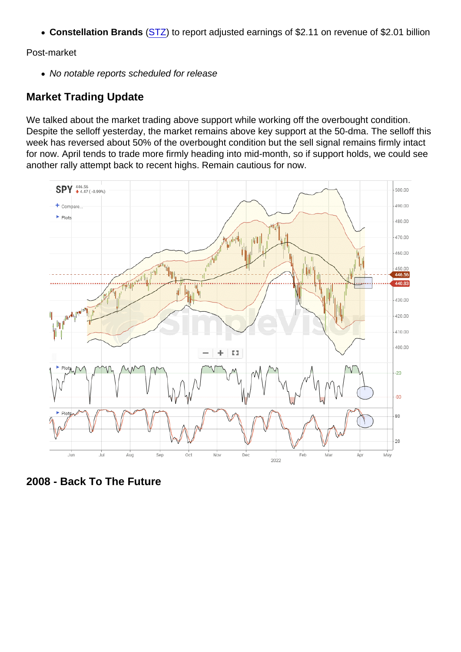Constellation Brands [\(STZ\)](https://finance.yahoo.com/quote/STZ) to report adjusted earnings of \$2.11 on revenue of \$2.01 billion

Post-market

No notable reports scheduled for release

## Market Trading Update

We talked about the market trading above support while working off the overbought condition. Despite the selloff yesterday, the market remains above key support at the 50-dma. The selloff this week has reversed about 50% of the overbought condition but the sell signal remains firmly intact for now. April tends to trade more firmly heading into mid-month, so if support holds, we could see another rally attempt back to recent highs. Remain cautious for now.

2008 - Back To The Future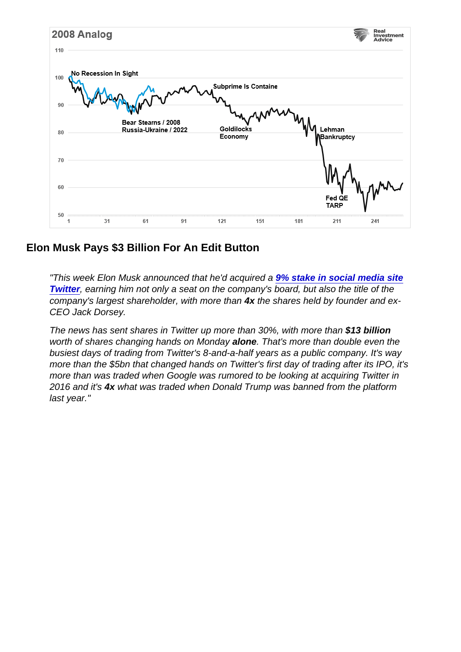Elon Musk Pays \$3 Billion For An Edit Button

"This week Elon Musk announced that he'd acquired a [9% stake in social media site](https://chartr.us20.list-manage.com/track/click?u=05dafa9b4317774547b114632&id=60293f19f3&e=de7cf1bff8) [Twitter](https://chartr.us20.list-manage.com/track/click?u=05dafa9b4317774547b114632&id=60293f19f3&e=de7cf1bff8) , earning him not only a seat on the company's board, but also the title of the company's largest shareholder, with more than 4x the shares held by founder and ex-CEO Jack Dorsey.

The news has sent shares in Twitter up more than 30%, with more than \$13 billion worth of shares changing hands on Monday alone . That's more than double even the busiest days of trading from Twitter's 8-and-a-half years as a public company. It's way more than the \$5bn that changed hands on Twitter's first day of trading after its IPO, it's more than was traded when Google was rumored to be looking at acquiring Twitter in 2016 and it's 4x what was traded when Donald Trump was banned from the platform last year."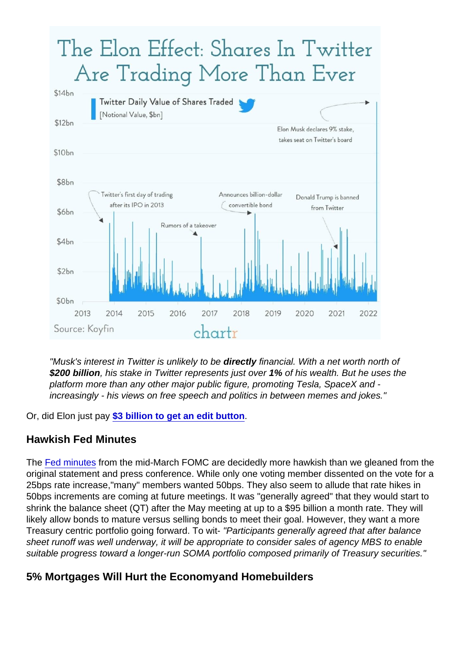"Musk's interest in Twitter is unlikely to be directly financial. With a net worth north of \$200 billion , his stake in Twitter represents just over 1% of his wealth. But he uses the platform more than any other major public figure, promoting Tesla, SpaceX and increasingly - his views on free speech and politics in between memes and jokes."

Or, did Elon just pay [\\$3 billion to get an edit button](https://chartr.us20.list-manage.com/track/click?u=05dafa9b4317774547b114632&id=aa99e362c8&e=de7cf1bff8).

## Hawkish Fed Minutes

The [Fed minutes](https://www.federalreserve.gov/monetarypolicy/files/fomcminutes20220316.pdf) from the mid-March FOMC are decidedly more hawkish than we gleaned from the original statement and press conference. While only one voting member dissented on the vote for a 25bps rate increase,"many" members wanted 50bps. They also seem to allude that rate hikes in 50bps increments are coming at future meetings. It was "generally agreed" that they would start to shrink the balance sheet (QT) after the May meeting at up to a \$95 billion a month rate. They will likely allow bonds to mature versus selling bonds to meet their goal. However, they want a more Treasury centric portfolio going forward. To wit- "Participants generally agreed that after balance sheet runoff was well underway, it will be appropriate to consider sales of agency MBS to enable suitable progress toward a longer-run SOMA portfolio composed primarily of Treasury securities."

5% Mortgages Will Hurt the Economy and Homebuilders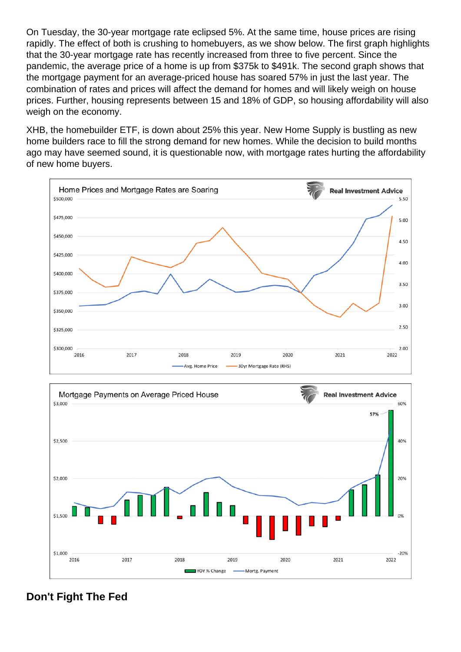On Tuesday, the 30-year mortgage rate eclipsed 5%. At the same time, house prices are rising rapidly. The effect of both is crushing to homebuyers, as we show below. The first graph highlights that the 30-year mortgage rate has recently increased from three to five percent. Since the pandemic, the average price of a home is up from \$375k to \$491k. The second graph shows that the mortgage payment for an average-priced house has soared 57% in just the last year. The combination of rates and prices will affect the demand for homes and will likely weigh on house prices. Further, housing represents between 15 and 18% of GDP, so housing affordability will also weigh on the economy.

XHB, the homebuilder ETF, is down about 25% this year. New Home Supply is bustling as new home builders race to fill the strong demand for new homes. While the decision to build months ago may have seemed sound, it is questionable now, with mortgage rates hurting the affordability of new home buyers.